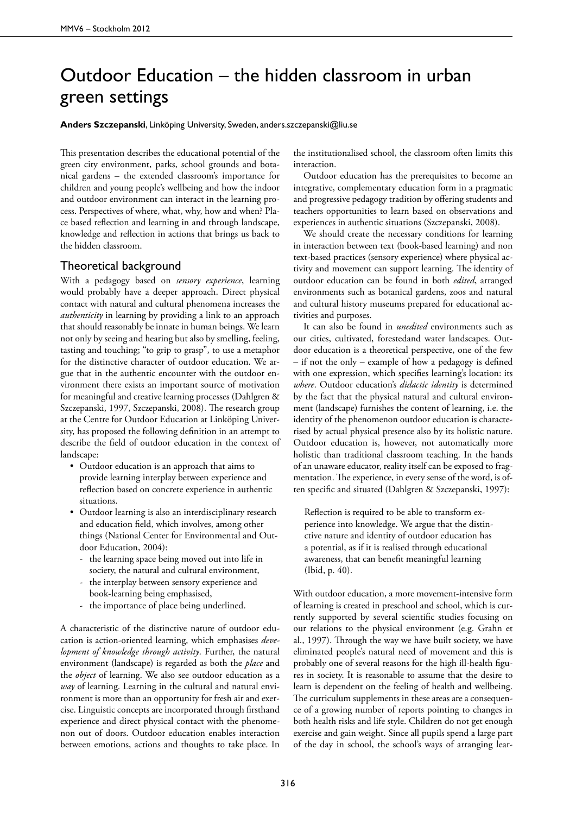## Outdoor Education – the hidden classroom in urban green settings

**Anders Szczepanski**, Linköping University, Sweden, anders.szczepanski@liu.se

This presentation describes the educational potential of the green city environment, parks, school grounds and botanical gardens – the extended classroom's importance for children and young people's wellbeing and how the indoor and outdoor environment can interact in the learning process. Perspectives of where, what, why, how and when? Place based reflection and learning in and through landscape, knowledge and reflection in actions that brings us back to the hidden classroom.

## Theoretical background

With a pedagogy based on *sensory experience*, learning would probably have a deeper approach. Direct physical contact with natural and cultural phenomena increases the *authenticity* in learning by providing a link to an approach that should reasonably be innate in human beings. We learn not only by seeing and hearing but also by smelling, feeling, tasting and touching; "to grip to grasp", to use a metaphor for the distinctive character of outdoor education. We argue that in the authentic encounter with the outdoor environment there exists an important source of motivation for meaningful and creative learning processes (Dahlgren & Szczepanski, 1997, Szczepanski, 2008). The research group at the Centre for Outdoor Education at Linköping University, has proposed the following definition in an attempt to describe the field of outdoor education in the context of landscape:

- • Outdoor education is an approach that aims to provide learning interplay between experience and reflection based on concrete experience in authentic situations.
- • Outdoor learning is also an interdisciplinary research and education field, which involves, among other things (National Center for Environmental and Outdoor Education, 2004):
	- the learning space being moved out into life in society, the natural and cultural environment,
	- the interplay between sensory experience and book-learning being emphasised,
	- the importance of place being underlined.

A characteristic of the distinctive nature of outdoor education is action-oriented learning, which emphasises *development of knowledge through activity*. Further, the natural environment (landscape) is regarded as both the *place* and the *object* of learning. We also see outdoor education as a *way* of learning. Learning in the cultural and natural environment is more than an opportunity for fresh air and exercise. Linguistic concepts are incorporated through firsthand experience and direct physical contact with the phenomenon out of doors. Outdoor education enables interaction between emotions, actions and thoughts to take place. In the institutionalised school, the classroom often limits this interaction.

Outdoor education has the prerequisites to become an integrative, complementary education form in a pragmatic and progressive pedagogy tradition by offering students and teachers opportunities to learn based on observations and experiences in authentic situations (Szczepanski, 2008).

We should create the necessary conditions for learning in interaction between text (book-based learning) and non text-based practices (sensory experience) where physical activity and movement can support learning. The identity of outdoor education can be found in both *edited*, arranged environments such as botanical gardens, zoos and natural and cultural history museums prepared for educational activities and purposes.

It can also be found in *unedited* environments such as our cities, cultivated, forestedand water landscapes. Outdoor education is a theoretical perspective, one of the few – if not the only – example of how a pedagogy is defined with one expression, which specifies learning's location: its *where*. Outdoor education's *didactic identity* is determined by the fact that the physical natural and cultural environment (landscape) furnishes the content of learning, i.e. the identity of the phenomenon outdoor education is characterised by actual physical presence also by its holistic nature. Outdoor education is, however, not automatically more holistic than traditional classroom teaching. In the hands of an unaware educator, reality itself can be exposed to fragmentation. The experience, in every sense of the word, is often specific and situated (Dahlgren & Szczepanski, 1997):

Reflection is required to be able to transform experience into knowledge. We argue that the distinctive nature and identity of outdoor education has a potential, as if it is realised through educational awareness, that can benefit meaningful learning (Ibid, p. 40).

With outdoor education, a more movement-intensive form of learning is created in preschool and school, which is currently supported by several scientific studies focusing on our relations to the physical environment (e.g. Grahn et al., 1997). Through the way we have built society, we have eliminated people's natural need of movement and this is probably one of several reasons for the high ill-health figures in society. It is reasonable to assume that the desire to learn is dependent on the feeling of health and wellbeing. The curriculum supplements in these areas are a consequence of a growing number of reports pointing to changes in both health risks and life style. Children do not get enough exercise and gain weight. Since all pupils spend a large part of the day in school, the school's ways of arranging lear-